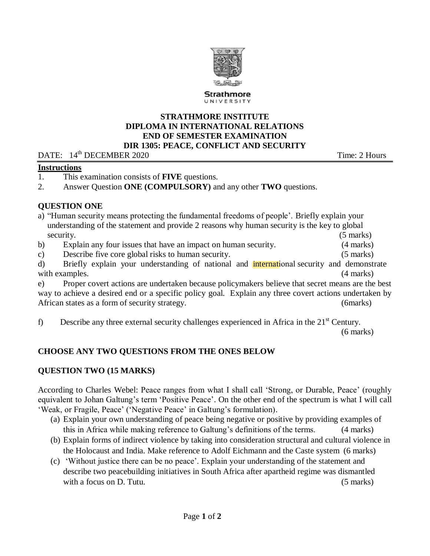

### **STRATHMORE INSTITUTE DIPLOMA IN INTERNATIONAL RELATIONS END OF SEMESTER EXAMINATION DIR 1305: PEACE, CONFLICT AND SECURITY**

DATE:  $14^{\text{th}}$  DECEMBER 2020

### **Instructions**

- 1. This examination consists of **FIVE** questions.
- 2. Answer Question **ONE (COMPULSORY)** and any other **TWO** questions.

### **QUESTION ONE**

|                                                                                                        | a) "Human security means protecting the fundamental freedoms of people'. Briefly explain your    |                     |  |  |
|--------------------------------------------------------------------------------------------------------|--------------------------------------------------------------------------------------------------|---------------------|--|--|
|                                                                                                        | understanding of the statement and provide 2 reasons why human security is the key to global     |                     |  |  |
|                                                                                                        | security.                                                                                        | $(5 \text{ marks})$ |  |  |
| $\mathbf{b}$                                                                                           | Explain any four issues that have an impact on human security.                                   | (4 marks)           |  |  |
| C)                                                                                                     | Describe five core global risks to human security.                                               | $(5 \text{ marks})$ |  |  |
| d)                                                                                                     | Briefly explain your understanding of national and international security and demonstrate        |                     |  |  |
|                                                                                                        | with examples.                                                                                   | (4 marks)           |  |  |
| e)                                                                                                     | Proper covert actions are undertaken because policymakers believe that secret means are the best |                     |  |  |
| way to achieve a desired end or a specific policy goal. Explain any three covert actions undertaken by |                                                                                                  |                     |  |  |
| African states as a form of security strategy.<br>(6marks)                                             |                                                                                                  |                     |  |  |
|                                                                                                        |                                                                                                  |                     |  |  |

f) Describe any three external security challenges experienced in Africa in the  $21<sup>st</sup>$  Century. (6 marks)

# **CHOOSE ANY TWO QUESTIONS FROM THE ONES BELOW**

# **QUESTION TWO (15 MARKS)**

According to Charles Webel: Peace ranges from what I shall call 'Strong, or Durable, Peace' (roughly equivalent to Johan Galtung's term 'Positive Peace'. On the other end of the spectrum is what I will call 'Weak, or Fragile, Peace' ('Negative Peace' in Galtung's formulation).

- (a) Explain your own understanding of peace being negative or positive by providing examples of this in Africa while making reference to Galtung's definitions of the terms. (4 marks)
- (b) Explain forms of indirect violence by taking into consideration structural and cultural violence in the Holocaust and India. Make reference to Adolf Eichmann and the Caste system (6 marks)
- (c) 'Without justice there can be no peace'. Explain your understanding of the statement and describe two peacebuilding initiatives in South Africa after apartheid regime was dismantled with a focus on D. Tutu. (5 marks) (5 marks)